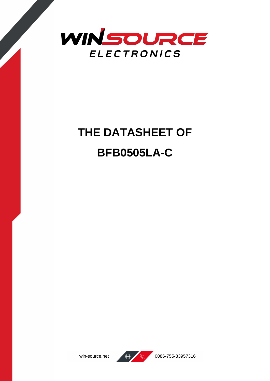

# **THE DATASHEET OF BFB0505LA-C**



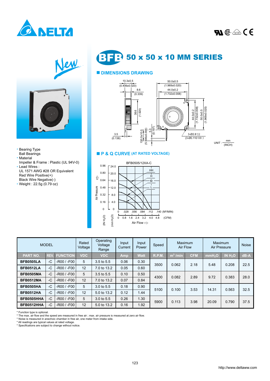





Impeller & Frame : Plastic (UL 94V-0)

UL 1571 AWG #28 OR Equivalent

\* Bearing Type Ball Bearings \* Material

\* Lead Wires :

Red Wire Positive(+) Black Wire Negative(-) \* Weight : 22.5g (0.79 oz) **BFB** 50 x 50 x 10 MM SERIES

## ■ **DIMENSIONS DRAWING**



 $UNIT: \frac{1}{(INCH)}$ mm

#### ■ **P & Q CURVE (AT RATED VOLTAGE)**



| <b>MODEL</b>     |            |                 | Rated<br>Voltage | Operating<br>Voltage<br>Range | Input<br>Current | Input<br>Power | Speed | Maximum<br>Air Flow  |            | Maximum<br>Air Pressure |                     | <b>Noise</b> |
|------------------|------------|-----------------|------------------|-------------------------------|------------------|----------------|-------|----------------------|------------|-------------------------|---------------------|--------------|
| <b>PART NO.</b>  | <b>REV</b> | <b>FUNCTION</b> | <b>VDC</b>       | <b>VDC</b>                    | Amp              | Watt           | R.P.M | m <sup>3</sup> / min | <b>CFM</b> | mmH <sub>2</sub> O      | IN H <sub>2</sub> O | $dB - A$     |
| <b>BFB0505LA</b> | $-C$       | -R00 / -F00     | 5                | 3.5 to 5.5                    | 0.06             | 0.30           | 3500  | 0.062                | 2.18       | 5.48                    | 0.208               | 22.5         |
| <b>BFB0512LA</b> | $-C$       | -R00 / -F00     | 12               | 7.0 to 13.2                   | 0.05             | 0.60           |       |                      |            |                         |                     |              |
| <b>BFB0505MA</b> | $-C$       | $-R00 / -F00$   | 5                | 3.5 to 5.5                    | 0.10             | 0.50           | 4300  | 0.082                | 2.89       | 9.72                    | 0.383               | 28.0         |
| <b>BFB0512MA</b> | $-C$       | $-R00 / -F00$   | 12               | 7.0 to 13.2                   | 0.07             | 0.84           |       |                      |            |                         |                     |              |
| <b>BFB0505HA</b> | $-C$       | $-R00 / -F00$   | 5                | 3.0 to 5.5                    | 0.18             | 0.90           | 5100  | 0.100                | 3.53       | 14.31                   | 0.563               | 32.5         |
| <b>BFB0512HA</b> | $-C$       | $-R00 / -F00$   | 12               | 5.0 to 13.2                   | 0.12             | 1.44           |       |                      |            |                         |                     |              |
| BFB0505HHA       | $-C$       | $-R00 / -F00$   | 5                | 3.0 to 5.5                    | 0.26             | 1.30           | 5900  | 0.113                | 3.98       | 20.09                   | 0.790               | 37.5         |
| BFB0512HHA       | $-C$       | $-R00 / -F00$   | 12               | 5.0 to 13.2                   | 0.16             | l.92           |       |                      |            |                         |                     |              |

\* Function type is optional. \* The max. air flow and the speed are measured in free air ; max. air pressure is measured at zero air flow.

\* Noise is measured in anechoic chamber in free air, one meter from intake side.

\* All readings are typical values at rated voltage. \* Specifications are subject to change without notice.